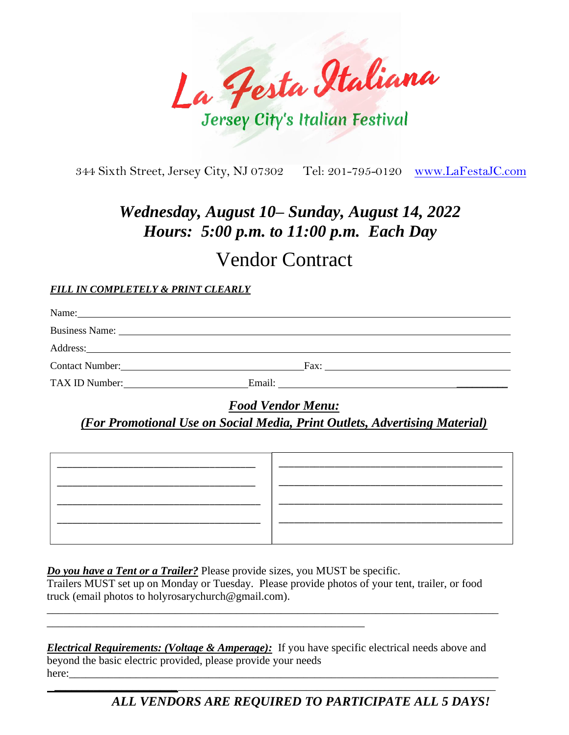La Festa Italiana Jersey City's Italian Festival

344 Sixth Street, Jersey City, NJ 07302 Tel: 201-795-0120 [www.LaFestaJC.com](http://www.lafestajc.com/)

## *Wednesday, August 10– Sunday, August 14, 2022 Hours: 5:00 p.m. to 11:00 p.m. Each Day*

# Vendor Contract

#### *FILL IN COMPLETELY & PRINT CLEARLY*

| Name:<br><u> 1989 - Johann John Stein, markin fizzar a shekara 1980 - An tsara 1980 - An tsara 1980 - An tsara 1980 - An t</u>                                                                                                 |        |                      |
|--------------------------------------------------------------------------------------------------------------------------------------------------------------------------------------------------------------------------------|--------|----------------------|
|                                                                                                                                                                                                                                |        |                      |
| Address: National Commitment of the Commitment of the Commitment of the Commitment of the Commitment of the Commitment of the Commitment of the Commitment of the Commitment of the Commitment of the Commitment of the Commit |        |                      |
|                                                                                                                                                                                                                                |        | Fax: $\qquad \qquad$ |
| TAX ID Number:                                                                                                                                                                                                                 | Email: |                      |

*Food Vendor Menu:*

## *(For Promotional Use on Social Media, Print Outlets, Advertising Material)*

*Do you have a Tent or a Trailer?* Please provide sizes, you MUST be specific.

\_\_\_\_\_\_\_\_\_\_\_\_\_\_\_\_\_\_\_\_\_\_\_\_\_\_\_\_\_\_\_\_\_\_\_\_\_\_\_\_\_\_\_\_\_\_\_\_\_\_\_\_\_\_\_\_\_

Trailers MUST set up on Monday or Tuesday. Please provide photos of your tent, trailer, or food truck (email photos to holyrosarychurch@gmail.com).

\_\_\_\_\_\_\_\_\_\_\_\_\_\_\_\_\_\_\_\_\_\_\_\_\_\_\_\_\_\_\_\_\_\_\_\_\_\_\_\_\_\_\_\_\_\_\_\_\_\_\_\_\_\_\_\_\_\_\_\_\_\_\_\_\_\_\_\_\_\_\_\_\_\_\_\_\_\_\_\_\_

*Electrical Requirements: (Voltage & Amperage):* If you have specific electrical needs above and beyond the basic electric provided, please provide your needs here:\_\_\_\_\_\_\_\_\_\_\_\_\_\_\_\_\_\_\_\_\_\_\_\_\_\_\_\_\_\_\_\_\_\_\_\_\_\_\_\_\_\_\_\_\_\_\_\_\_\_\_\_\_\_\_\_\_\_\_\_\_\_\_\_\_\_\_\_\_\_\_\_\_\_\_\_\_

 *\_\_\_\_\_\_\_\_\_\_\_\_\_\_\_\_\_\_\_\_\_\_*\_\_\_\_\_\_\_\_\_\_\_\_\_\_\_\_\_\_\_\_\_\_\_\_\_\_\_\_\_\_\_\_\_\_\_\_\_\_\_\_\_\_\_\_\_\_\_\_\_\_\_\_\_\_\_\_\_